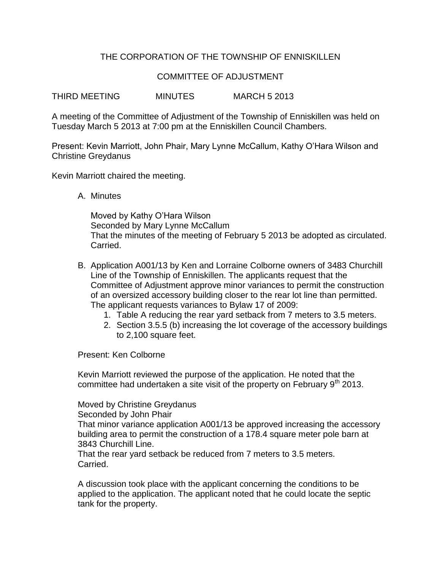## THE CORPORATION OF THE TOWNSHIP OF ENNISKILLEN

## COMMITTEE OF ADJUSTMENT

THIRD MEETING MINUTES MARCH 5 2013

A meeting of the Committee of Adjustment of the Township of Enniskillen was held on Tuesday March 5 2013 at 7:00 pm at the Enniskillen Council Chambers.

Present: Kevin Marriott, John Phair, Mary Lynne McCallum, Kathy O'Hara Wilson and Christine Greydanus

Kevin Marriott chaired the meeting.

A. Minutes

Moved by Kathy O'Hara Wilson Seconded by Mary Lynne McCallum That the minutes of the meeting of February 5 2013 be adopted as circulated. Carried.

- B. Application A001/13 by Ken and Lorraine Colborne owners of 3483 Churchill Line of the Township of Enniskillen. The applicants request that the Committee of Adjustment approve minor variances to permit the construction of an oversized accessory building closer to the rear lot line than permitted. The applicant requests variances to Bylaw 17 of 2009:
	- 1. Table A reducing the rear yard setback from 7 meters to 3.5 meters.
	- 2. Section 3.5.5 (b) increasing the lot coverage of the accessory buildings to 2,100 square feet.

Present: Ken Colborne

Kevin Marriott reviewed the purpose of the application. He noted that the committee had undertaken a site visit of the property on February  $9<sup>th</sup>$  2013.

Moved by Christine Greydanus

Seconded by John Phair

That minor variance application A001/13 be approved increasing the accessory building area to permit the construction of a 178.4 square meter pole barn at 3843 Churchill Line.

That the rear yard setback be reduced from 7 meters to 3.5 meters. Carried.

A discussion took place with the applicant concerning the conditions to be applied to the application. The applicant noted that he could locate the septic tank for the property.